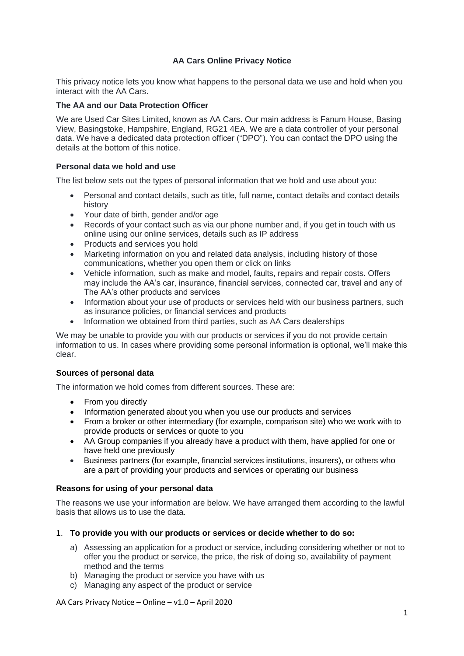# **AA Cars Online Privacy Notice**

This privacy notice lets you know what happens to the personal data we use and hold when you interact with the AA Cars.

## **The AA and our Data Protection Officer**

We are Used Car Sites Limited, known as AA Cars. Our main address is Fanum House, Basing View, Basingstoke, Hampshire, England, RG21 4EA. We are a data controller of your personal data. We have a dedicated data protection officer ("DPO"). You can contact the DPO using the details at the bottom of this notice.

# **Personal data we hold and use**

The list below sets out the types of personal information that we hold and use about you:

- Personal and contact details, such as title, full name, contact details and contact details history
- Your date of birth, gender and/or age
- Records of your contact such as via our phone number and, if you get in touch with us online using our online services, details such as IP address
- Products and services you hold
- Marketing information on you and related data analysis, including history of those communications, whether you open them or click on links
- Vehicle information, such as make and model, faults, repairs and repair costs, Offers may include the AA's car, insurance, financial services, connected car, travel and any of The AA's other products and services
- Information about your use of products or services held with our business partners, such as insurance policies, or financial services and products
- Information we obtained from third parties, such as AA Cars dealerships

We may be unable to provide you with our products or services if you do not provide certain information to us. In cases where providing some personal information is optional, we'll make this clear.

## **Sources of personal data**

The information we hold comes from different sources. These are:

- From you directly
- Information generated about you when you use our products and services
- From a broker or other intermediary (for example, comparison site) who we work with to provide products or services or quote to you
- AA Group companies if you already have a product with them, have applied for one or have held one previously
- Business partners (for example, financial services institutions, insurers), or others who are a part of providing your products and services or operating our business

## **Reasons for using of your personal data**

The reasons we use your information are below. We have arranged them according to the lawful basis that allows us to use the data.

- 1. **To provide you with our products or services or decide whether to do so:**
	- a) Assessing an application for a product or service, including considering whether or not to offer you the product or service, the price, the risk of doing so, availability of payment method and the terms
	- b) Managing the product or service you have with us
	- c) Managing any aspect of the product or service

AA Cars Privacy Notice – Online – v1.0 – April 2020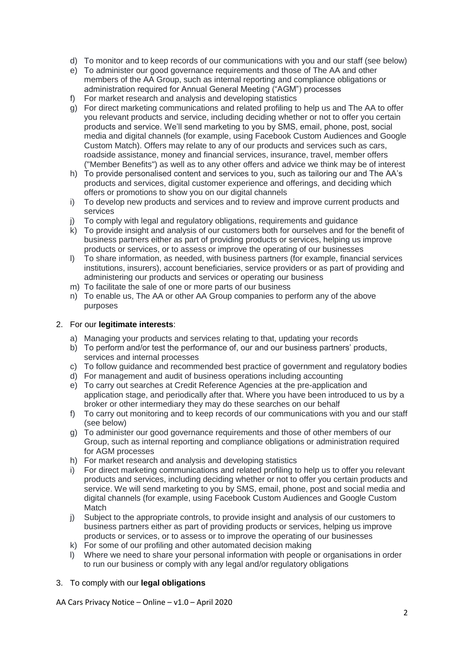- d) To monitor and to keep records of our communications with you and our staff (see below)
- e) To administer our good governance requirements and those of The AA and other members of the AA Group, such as internal reporting and compliance obligations or administration required for Annual General Meeting ("AGM") processes
- f) For market research and analysis and developing statistics
- g) For direct marketing communications and related profiling to help us and The AA to offer you relevant products and service, including deciding whether or not to offer you certain products and service. We'll send marketing to you by SMS, email, phone, post, social media and digital channels (for example, using Facebook Custom Audiences and Google Custom Match). Offers may relate to any of our products and services such as cars, roadside assistance, money and financial services, insurance, travel, member offers ("Member Benefits") as well as to any other offers and advice we think may be of interest
- h) To provide personalised content and services to you, such as tailoring our and The AA's products and services, digital customer experience and offerings, and deciding which offers or promotions to show you on our digital channels
- i) To develop new products and services and to review and improve current products and services
- j) To comply with legal and regulatory obligations, requirements and guidance
- $k$ ) To provide insight and analysis of our customers both for ourselves and for the benefit of business partners either as part of providing products or services, helping us improve products or services, or to assess or improve the operating of our businesses
- l) To share information, as needed, with business partners (for example, financial services institutions, insurers), account beneficiaries, service providers or as part of providing and administering our products and services or operating our business
- m) To facilitate the sale of one or more parts of our business
- n) To enable us, The AA or other AA Group companies to perform any of the above purposes

# 2. For our **legitimate interests**:

- a) Managing your products and services relating to that, updating your records
- b) To perform and/or test the performance of, our and our business partners' products, services and internal processes
- c) To follow guidance and recommended best practice of government and regulatory bodies
- d) For management and audit of business operations including accounting
- e) To carry out searches at Credit Reference Agencies at the pre-application and application stage, and periodically after that. Where you have been introduced to us by a broker or other intermediary they may do these searches on our behalf
- f) To carry out monitoring and to keep records of our communications with you and our staff (see below)
- g) To administer our good governance requirements and those of other members of our Group, such as internal reporting and compliance obligations or administration required for AGM processes
- h) For market research and analysis and developing statistics
- i) For direct marketing communications and related profiling to help us to offer you relevant products and services, including deciding whether or not to offer you certain products and service. We will send marketing to you by SMS, email, phone, post and social media and digital channels (for example, using Facebook Custom Audiences and Google Custom **Match**
- j) Subject to the appropriate controls, to provide insight and analysis of our customers to business partners either as part of providing products or services, helping us improve products or services, or to assess or to improve the operating of our businesses
- k) For some of our profiling and other automated decision making
- l) Where we need to share your personal information with people or organisations in order to run our business or comply with any legal and/or regulatory obligations

## 3. To comply with our **legal obligations**

AA Cars Privacy Notice – Online – v1.0 – April 2020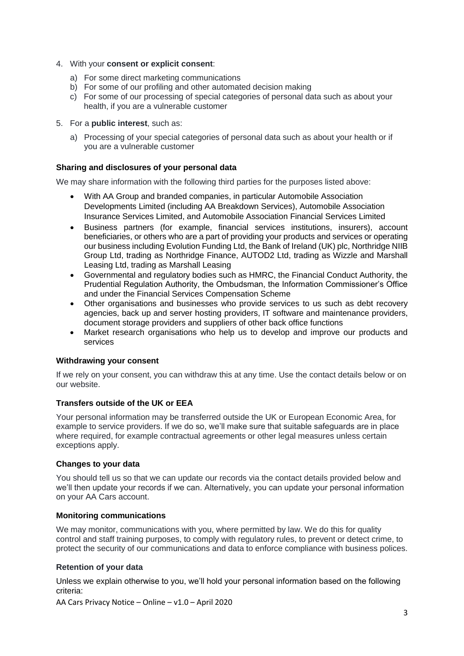- 4. With your **consent or explicit consent**:
	- a) For some direct marketing communications
	- b) For some of our profiling and other automated decision making
	- c) For some of our processing of special categories of personal data such as about your health, if you are a vulnerable customer
- 5. For a **public interest**, such as:
	- a) Processing of your special categories of personal data such as about your health or if you are a vulnerable customer

## **Sharing and disclosures of your personal data**

We may share information with the following third parties for the purposes listed above:

- With AA Group and branded companies, in particular Automobile Association Developments Limited (including AA Breakdown Services), Automobile Association Insurance Services Limited, and Automobile Association Financial Services Limited
- Business partners (for example, financial services institutions, insurers), account beneficiaries, or others who are a part of providing your products and services or operating our business including Evolution Funding Ltd, the Bank of Ireland (UK) plc, Northridge NIIB Group Ltd, trading as Northridge Finance, AUTOD2 Ltd, trading as Wizzle and Marshall Leasing Ltd, trading as Marshall Leasing
- Governmental and regulatory bodies such as HMRC, the Financial Conduct Authority, the Prudential Regulation Authority, the Ombudsman, the Information Commissioner's Office and under the Financial Services Compensation Scheme
- Other organisations and businesses who provide services to us such as debt recovery agencies, back up and server hosting providers, IT software and maintenance providers, document storage providers and suppliers of other back office functions
- Market research organisations who help us to develop and improve our products and services

### **Withdrawing your consent**

If we rely on your consent, you can withdraw this at any time. Use the contact details below or on our website.

## **Transfers outside of the UK or EEA**

Your personal information may be transferred outside the UK or European Economic Area, for example to service providers. If we do so, we'll make sure that suitable safeguards are in place where required, for example contractual agreements or other legal measures unless certain exceptions apply.

### **Changes to your data**

You should tell us so that we can update our records via the contact details provided below and we'll then update your records if we can. Alternatively, you can update your personal information on your AA Cars account.

### **Monitoring communications**

We may monitor, communications with you, where permitted by law. We do this for quality control and staff training purposes, to comply with regulatory rules, to prevent or detect crime, to protect the security of our communications and data to enforce compliance with business polices.

### **Retention of your data**

Unless we explain otherwise to you, we'll hold your personal information based on the following criteria:

AA Cars Privacy Notice – Online – v1.0 – April 2020